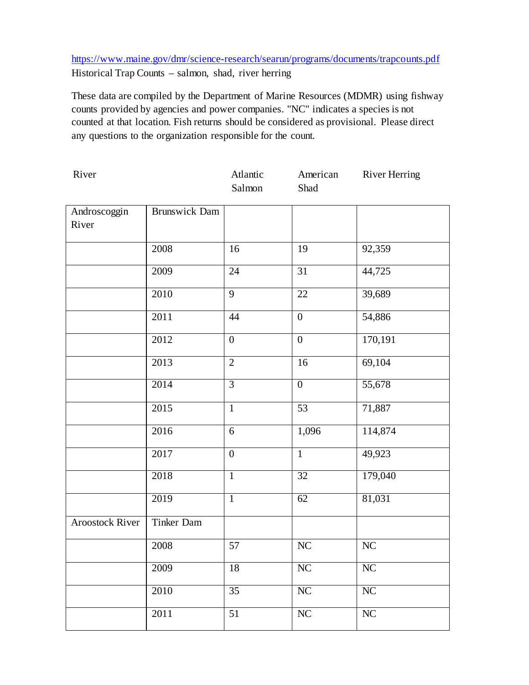## <https://www.maine.gov/dmr/science-research/searun/programs/documents/trapcounts.pdf> Historical Trap Counts – salmon, shad, river herring

These data are compiled by the Department of Marine Resources (MDMR) using fishway counts provided by agencies and power companies. "NC" indicates a species is not counted at that location. Fish returns should be considered as provisional. Please direct any questions to the organization responsible for the count.

| River                  |                      | Atlantic<br>Salmon | American<br>Shad | <b>River Herring</b> |
|------------------------|----------------------|--------------------|------------------|----------------------|
| Androscoggin<br>River  | <b>Brunswick Dam</b> |                    |                  |                      |
|                        | 2008                 | 16                 | 19               | 92,359               |
|                        | 2009                 | 24                 | 31               | 44,725               |
|                        | 2010                 | 9                  | 22               | 39,689               |
|                        | 2011                 | 44                 | $\boldsymbol{0}$ | 54,886               |
|                        | 2012                 | $\boldsymbol{0}$   | $\boldsymbol{0}$ | 170,191              |
|                        | 2013                 | $\overline{2}$     | 16               | 69,104               |
|                        | 2014                 | $\overline{3}$     | $\boldsymbol{0}$ | 55,678               |
|                        | 2015                 | $\mathbf{1}$       | 53               | 71,887               |
|                        | 2016                 | 6                  | 1,096            | 114,874              |
|                        | 2017                 | $\boldsymbol{0}$   | $\mathbf{1}$     | 49,923               |
|                        | 2018                 | $\mathbf{1}$       | 32               | 179,040              |
|                        | 2019                 | $\mathbf{1}$       | $\overline{62}$  | 81,031               |
| <b>Aroostock River</b> | Tinker Dam           |                    |                  |                      |
|                        | 2008                 | 57                 | NC               | NC                   |
|                        | 2009                 | 18                 | NC               | NC                   |
|                        | 2010                 | 35                 | $\rm NC$         | NC                   |
|                        | 2011                 | $\overline{51}$    | ${\rm NC}$       | $\rm NC$             |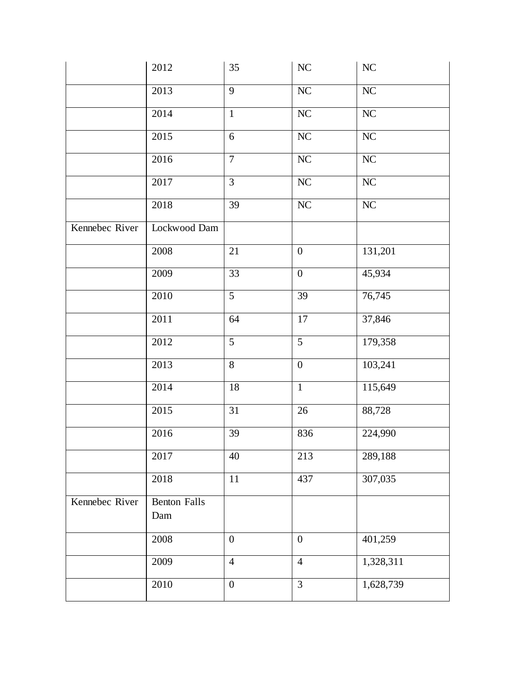|                | 2012                       | 35               | $\rm NC$         | $\rm NC$  |
|----------------|----------------------------|------------------|------------------|-----------|
|                | 2013                       | $\overline{9}$   | NC               | NC        |
|                | 2014                       | $\mathbf{1}$     | $\rm NC$         | $\rm NC$  |
|                | 2015                       | 6                | ${\rm NC}$       | $\rm NC$  |
|                | 2016                       | $\overline{7}$   | $\rm NC$         | $\rm NC$  |
|                | 2017                       | $\overline{3}$   | $\rm NC$         | $\rm NC$  |
|                | 2018                       | 39               | NC               | NC        |
| Kennebec River | Lockwood Dam               |                  |                  |           |
|                | $2008\,$                   | 21               | $\boldsymbol{0}$ | 131,201   |
|                | 2009                       | $\overline{33}$  | $\overline{0}$   | 45,934    |
|                | 2010                       | $\overline{5}$   | 39               | 76,745    |
|                | 2011                       | 64               | 17               | 37,846    |
|                | 2012                       | 5                | 5                | 179,358   |
|                | 2013                       | $8\,$            | $\boldsymbol{0}$ | 103,241   |
|                | 2014                       | 18               | $\overline{1}$   | 115,649   |
|                | 2015                       | 31               | 26               | 88,728    |
|                | 2016                       | 39               | 836              | 224,990   |
|                | 2017                       | 40               | 213              | 289,188   |
|                | 2018                       | $11\,$           | 437              | 307,035   |
| Kennebec River | <b>Benton Falls</b><br>Dam |                  |                  |           |
|                | 2008                       | $\overline{0}$   | $\overline{0}$   | 401,259   |
|                | 2009                       | $\overline{4}$   | $\overline{4}$   | 1,328,311 |
|                | 2010                       | $\boldsymbol{0}$ | 3                | 1,628,739 |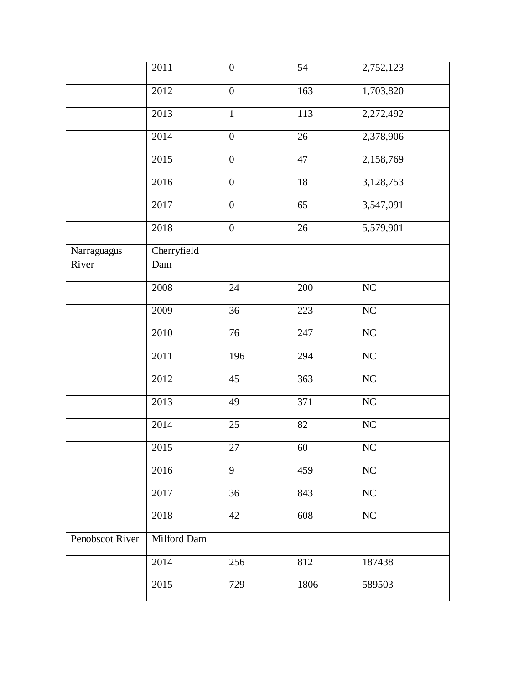|                      | 2011               | $\boldsymbol{0}$ | 54   | 2,752,123 |
|----------------------|--------------------|------------------|------|-----------|
|                      | 2012               | $\boldsymbol{0}$ | 163  | 1,703,820 |
|                      | 2013               | $\mathbf{1}$     | 113  | 2,272,492 |
|                      | 2014               | $\boldsymbol{0}$ | 26   | 2,378,906 |
|                      | 2015               | $\boldsymbol{0}$ | 47   | 2,158,769 |
|                      | 2016               | $\boldsymbol{0}$ | 18   | 3,128,753 |
|                      | 2017               | $\boldsymbol{0}$ | 65   | 3,547,091 |
|                      | 2018               | $\boldsymbol{0}$ | 26   | 5,579,901 |
| Narraguagus<br>River | Cherryfield<br>Dam |                  |      |           |
|                      | 2008               | 24               | 200  | $\rm NC$  |
|                      | 2009               | 36               | 223  | NC        |
|                      | 2010               | $\overline{76}$  | 247  | NC        |
|                      | 2011               | 196              | 294  | $\rm NC$  |
|                      | 2012               | 45               | 363  | $\rm NC$  |
|                      | 2013               | 49               | 371  | $\rm NC$  |
|                      | 2014               | 25               | 82   | NC        |
|                      | 2015               | 27               | 60   | $\rm NC$  |
|                      | 2016               | 9                | 459  | NC        |
|                      | 2017               | 36               | 843  | NC        |
|                      | 2018               | 42               | 608  | NC        |
| Penobscot River      | Milford Dam        |                  |      |           |
|                      | 2014               | 256              | 812  | 187438    |
|                      | 2015               | 729              | 1806 | 589503    |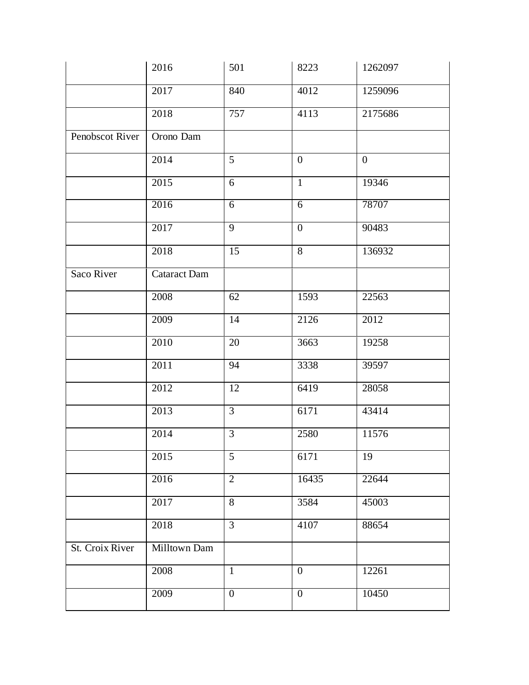|                 | 2016                | 501            | 8223             | 1262097          |
|-----------------|---------------------|----------------|------------------|------------------|
|                 | 2017                | 840            | 4012             | 1259096          |
|                 | 2018                | 757            | 4113             | 2175686          |
| Penobscot River | Orono Dam           |                |                  |                  |
|                 | 2014                | 5              | $\overline{0}$   | $\boldsymbol{0}$ |
|                 | 2015                | 6              | $\mathbf{1}$     | 19346            |
|                 | 2016                | 6              | $\overline{6}$   | 78707            |
|                 | 2017                | $\overline{9}$ | $\overline{0}$   | 90483            |
|                 | 2018                | 15             | 8                | 136932           |
| Saco River      | <b>Cataract Dam</b> |                |                  |                  |
|                 | 2008                | 62             | 1593             | 22563            |
|                 | 2009                | 14             | 2126             | 2012             |
|                 | 2010                | $20\,$         | 3663             | 19258            |
|                 | 2011                | 94             | 3338             | 39597            |
|                 | 2012                | 12             | 6419             | 28058            |
|                 | 2013                | $\overline{3}$ | 6171             | 43414            |
|                 | 2014                | $\mathfrak{Z}$ | 2580             | 11576            |
|                 | 2015                | 5              | 6171             | 19               |
|                 | 2016                | $\overline{2}$ | 16435            | 22644            |
|                 | 2017                | 8              | 3584             | 45003            |
|                 | 2018                | $\overline{3}$ | 4107             | 88654            |
| St. Croix River | Milltown Dam        |                |                  |                  |
|                 | 2008                | $\mathbf{1}$   | $\boldsymbol{0}$ | 12261            |
|                 | 2009                | $\overline{0}$ | $\overline{0}$   | 10450            |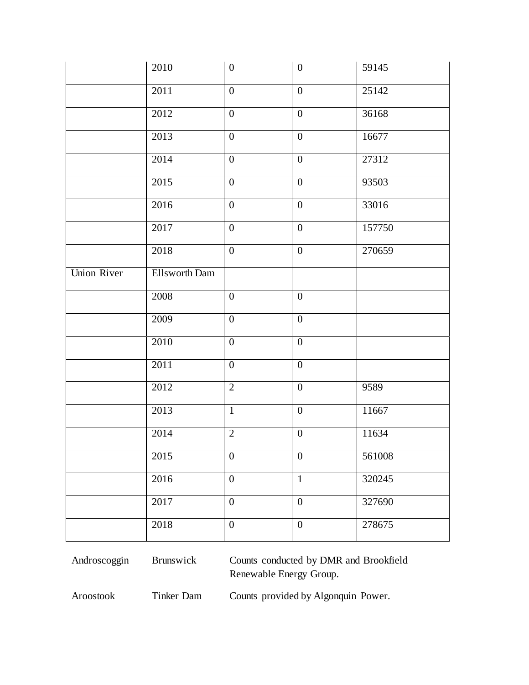|                    | 2010          | $\boldsymbol{0}$ | $\boldsymbol{0}$ | 59145  |
|--------------------|---------------|------------------|------------------|--------|
|                    | 2011          | $\boldsymbol{0}$ | $\boldsymbol{0}$ | 25142  |
|                    | 2012          | $\boldsymbol{0}$ | $\boldsymbol{0}$ | 36168  |
|                    | 2013          | $\boldsymbol{0}$ | $\boldsymbol{0}$ | 16677  |
|                    | 2014          | $\boldsymbol{0}$ | $\boldsymbol{0}$ | 27312  |
|                    | 2015          | $\boldsymbol{0}$ | $\boldsymbol{0}$ | 93503  |
|                    | 2016          | $\boldsymbol{0}$ | $\boldsymbol{0}$ | 33016  |
|                    | 2017          | $\boldsymbol{0}$ | $\boldsymbol{0}$ | 157750 |
|                    | 2018          | $\boldsymbol{0}$ | $\boldsymbol{0}$ | 270659 |
| <b>Union River</b> | Ellsworth Dam |                  |                  |        |
|                    | 2008          | $\boldsymbol{0}$ | $\boldsymbol{0}$ |        |
|                    | 2009          | $\overline{0}$   | $\overline{0}$   |        |
|                    | 2010          | $\boldsymbol{0}$ | $\boldsymbol{0}$ |        |
|                    | 2011          | $\boldsymbol{0}$ | $\boldsymbol{0}$ |        |
|                    | 2012          | $\overline{2}$   | $\boldsymbol{0}$ | 9589   |
|                    | 2013          | $\mathbf{1}$     | $\boldsymbol{0}$ | 11667  |
|                    | 2014          | $\mathbf{2}$     | $\boldsymbol{0}$ | 11634  |
|                    | 2015          | $\boldsymbol{0}$ | $\boldsymbol{0}$ | 561008 |
|                    | 2016          | $\boldsymbol{0}$ | $\mathbf{1}$     | 320245 |
|                    | 2017          | $\boldsymbol{0}$ | $\boldsymbol{0}$ | 327690 |
|                    | 2018          | $\boldsymbol{0}$ | $\boldsymbol{0}$ | 278675 |

Androscoggin Brunswick Counts conducted by DMR and Brookfield Renewable Energy Group.

Aroostook Tinker Dam

Counts provided by Algonquin Power.